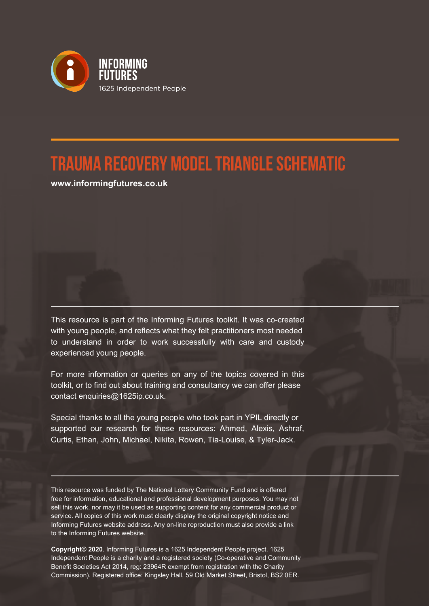

## **Trauma Recovery Model Triangle Schematic**

**www.informingfutures.co.uk**

This resource is part of the Informing Futures toolkit. It was co-created with young people, and reflects what they felt practitioners most needed to understand in order to work successfully with care and custody experienced young people.

For more information or queries on any of the topics covered in this toolkit, or to find out about training and consultancy we can offer please contact enquiries@1625ip.co.uk.

Special thanks to all the young people who took part in YPIL directly or supported our research for these resources: Ahmed, Alexis, Ashraf, Curtis, Ethan, John, Michael, Nikita, Rowen, Tia-Louise, & Tyler-Jack.

This resource was funded by The National Lottery Community Fund and is offered free for information, educational and professional development purposes. You may not sell this work, nor may it be used as supporting content for any commercial product or service. All copies of this work must clearly display the original copyright notice and Informing Futures website address. Any on-line reproduction must also provide a link to the Informing Futures website.

**Copyright© 2020**. Informing Futures is a 1625 Independent People project. 1625 Independent People is a charity and a registered society (Co-operative and Community Benefit Societies Act 2014, reg: 23964R exempt from registration with the Charity Commission). Registered office: Kingsley Hall, 59 Old Market Street, Bristol, BS2 0ER.